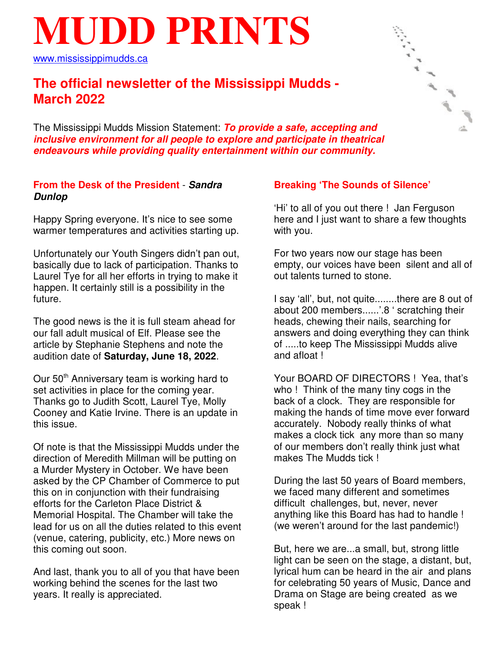# **MUDD PRINTS**

www.mississippimudds.ca

# **The official newsletter of the Mississippi Mudds - March 2022**

The Mississippi Mudds Mission Statement: **To provide a safe, accepting and inclusive environment for all people to explore and participate in theatrical endeavours while providing quality entertainment within our community.**

#### **From the Desk of the President** - **Sandra Dunlop**

Happy Spring everyone. It's nice to see some warmer temperatures and activities starting up.

Unfortunately our Youth Singers didn't pan out, basically due to lack of participation. Thanks to Laurel Tye for all her efforts in trying to make it happen. It certainly still is a possibility in the future.

The good news is the it is full steam ahead for our fall adult musical of Elf. Please see the article by Stephanie Stephens and note the audition date of **Saturday, June 18, 2022**.

Our  $50<sup>th</sup>$  Anniversary team is working hard to set activities in place for the coming year. Thanks go to Judith Scott, Laurel Tye, Molly Cooney and Katie Irvine. There is an update in this issue.

Of note is that the Mississippi Mudds under the direction of Meredith Millman will be putting on a Murder Mystery in October. We have been asked by the CP Chamber of Commerce to put this on in conjunction with their fundraising efforts for the Carleton Place District & Memorial Hospital. The Chamber will take the lead for us on all the duties related to this event (venue, catering, publicity, etc.) More news on this coming out soon.

And last, thank you to all of you that have been working behind the scenes for the last two years. It really is appreciated.

### **Breaking 'The Sounds of Silence'**

'Hi' to all of you out there ! Jan Ferguson here and I just want to share a few thoughts with you.

For two years now our stage has been empty, our voices have been silent and all of out talents turned to stone.

I say 'all', but, not quite........there are 8 out of about 200 members......'.8 ' scratching their heads, chewing their nails, searching for answers and doing everything they can think of .....to keep The Mississippi Mudds alive and afloat !

Your BOARD OF DIRECTORS ! Yea, that's who ! Think of the many tiny cogs in the back of a clock. They are responsible for making the hands of time move ever forward accurately. Nobody really thinks of what makes a clock tick any more than so many of our members don't really think just what makes The Mudds tick !

During the last 50 years of Board members, we faced many different and sometimes difficult challenges, but, never, never anything like this Board has had to handle ! (we weren't around for the last pandemic!)

But, here we are...a small, but, strong little light can be seen on the stage, a distant, but, lyrical hum can be heard in the air and plans for celebrating 50 years of Music, Dance and Drama on Stage are being created as we speak !

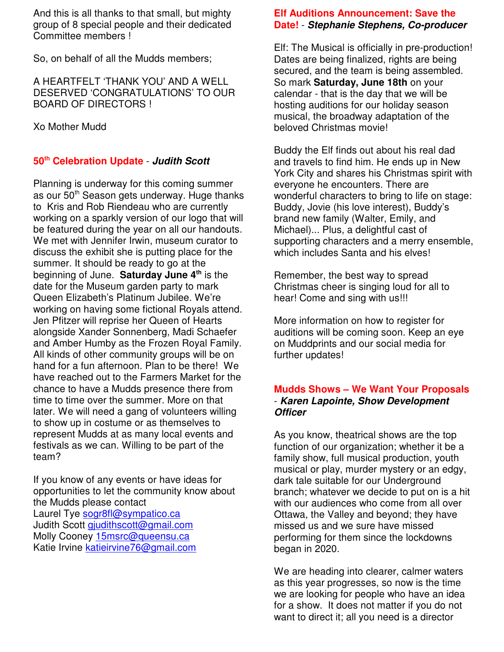And this is all thanks to that small, but mighty group of 8 special people and their dedicated Committee members !

So, on behalf of all the Mudds members;

A HEARTFELT 'THANK YOU' AND A WELL DESERVED 'CONGRATULATIONS' TO OUR BOARD OF DIRECTORS !

Xo Mother Mudd

#### **50th Celebration Update** - **Judith Scott**

Planning is underway for this coming summer as our 50<sup>th</sup> Season gets underway. Huge thanks to Kris and Rob Riendeau who are currently working on a sparkly version of our logo that will be featured during the year on all our handouts. We met with Jennifer Irwin, museum curator to discuss the exhibit she is putting place for the summer. It should be ready to go at the beginning of June. **Saturday June 4th** is the date for the Museum garden party to mark Queen Elizabeth's Platinum Jubilee. We're working on having some fictional Royals attend. Jen Pfitzer will reprise her Queen of Hearts alongside Xander Sonnenberg, Madi Schaefer and Amber Humby as the Frozen Royal Family. All kinds of other community groups will be on hand for a fun afternoon. Plan to be there! We have reached out to the Farmers Market for the chance to have a Mudds presence there from time to time over the summer. More on that later. We will need a gang of volunteers willing to show up in costume or as themselves to represent Mudds at as many local events and festivals as we can. Willing to be part of the team?

If you know of any events or have ideas for opportunities to let the community know about the Mudds please contact Laurel Tye sogr8fl@sympatico.ca Judith Scott gjudithscott@gmail.com Molly Cooney 15msrc@queensu.ca Katie Irvine katieirvine76@gmail.com

#### **Elf Auditions Announcement: Save the Date!** - **Stephanie Stephens, Co-producer**

Elf: The Musical is officially in pre-production! Dates are being finalized, rights are being secured, and the team is being assembled. So mark **Saturday, June 18th** on your calendar - that is the day that we will be hosting auditions for our holiday season musical, the broadway adaptation of the beloved Christmas movie!

Buddy the Elf finds out about his real dad and travels to find him. He ends up in New York City and shares his Christmas spirit with everyone he encounters. There are wonderful characters to bring to life on stage: Buddy, Jovie (his love interest), Buddy's brand new family (Walter, Emily, and Michael)... Plus, a delightful cast of supporting characters and a merry ensemble, which includes Santa and his elves!

Remember, the best way to spread Christmas cheer is singing loud for all to hear! Come and sing with us!!!

More information on how to register for auditions will be coming soon. Keep an eye on Muddprints and our social media for further updates!

#### **Mudds Shows – We Want Your Proposals** - **Karen Lapointe, Show Development Officer**

As you know, theatrical shows are the top function of our organization; whether it be a family show, full musical production, youth musical or play, murder mystery or an edgy, dark tale suitable for our Underground branch; whatever we decide to put on is a hit with our audiences who come from all over Ottawa, the Valley and beyond; they have missed us and we sure have missed performing for them since the lockdowns began in 2020.

We are heading into clearer, calmer waters as this year progresses, so now is the time we are looking for people who have an idea for a show. It does not matter if you do not want to direct it; all you need is a director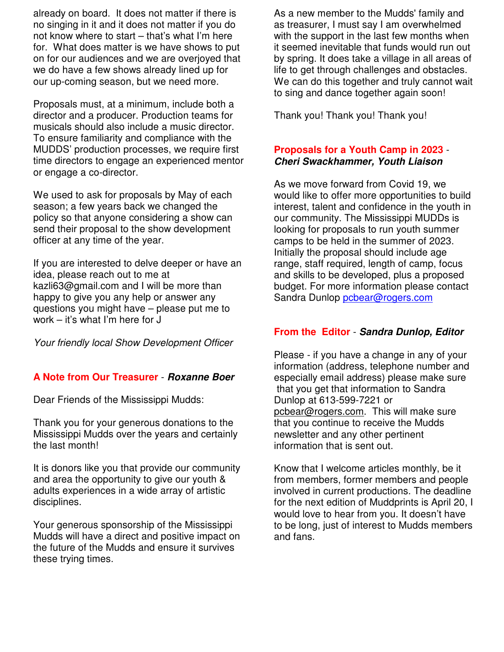already on board. It does not matter if there is no singing in it and it does not matter if you do not know where to start – that's what I'm here for. What does matter is we have shows to put on for our audiences and we are overjoyed that we do have a few shows already lined up for our up-coming season, but we need more.

Proposals must, at a minimum, include both a director and a producer. Production teams for musicals should also include a music director. To ensure familiarity and compliance with the MUDDS' production processes, we require first time directors to engage an experienced mentor or engage a co-director.

We used to ask for proposals by May of each season; a few years back we changed the policy so that anyone considering a show can send their proposal to the show development officer at any time of the year.

If you are interested to delve deeper or have an idea, please reach out to me at kazli63@gmail.com and I will be more than happy to give you any help or answer any questions you might have – please put me to work – it's what I'm here for J

Your friendly local Show Development Officer

### **A Note from Our Treasurer** - **Roxanne Boer**

Dear Friends of the Mississippi Mudds:

Thank you for your generous donations to the Mississippi Mudds over the years and certainly the last month!

It is donors like you that provide our community and area the opportunity to give our youth & adults experiences in a wide array of artistic disciplines.

Your generous sponsorship of the Mississippi Mudds will have a direct and positive impact on the future of the Mudds and ensure it survives these trying times.

As a new member to the Mudds' family and as treasurer, I must say I am overwhelmed with the support in the last few months when it seemed inevitable that funds would run out by spring. It does take a village in all areas of life to get through challenges and obstacles. We can do this together and truly cannot wait to sing and dance together again soon!

Thank you! Thank you! Thank you!

#### **Proposals for a Youth Camp in 2023** - **Cheri Swackhammer, Youth Liaison**

As we move forward from Covid 19, we would like to offer more opportunities to build interest, talent and confidence in the youth in our community. The Mississippi MUDDs is looking for proposals to run youth summer camps to be held in the summer of 2023. Initially the proposal should include age range, staff required, length of camp, focus and skills to be developed, plus a proposed budget. For more information please contact Sandra Dunlop pcbear@rogers.com

# **From the Editor** - **Sandra Dunlop, Editor**

Please - if you have a change in any of your information (address, telephone number and especially email address) please make sure that you get that information to Sandra Dunlop at 613-599-7221 or pcbear@rogers.com. This will make sure that you continue to receive the Mudds newsletter and any other pertinent information that is sent out.

Know that I welcome articles monthly, be it from members, former members and people involved in current productions. The deadline for the next edition of Muddprints is April 20, I would love to hear from you. It doesn't have to be long, just of interest to Mudds members and fans.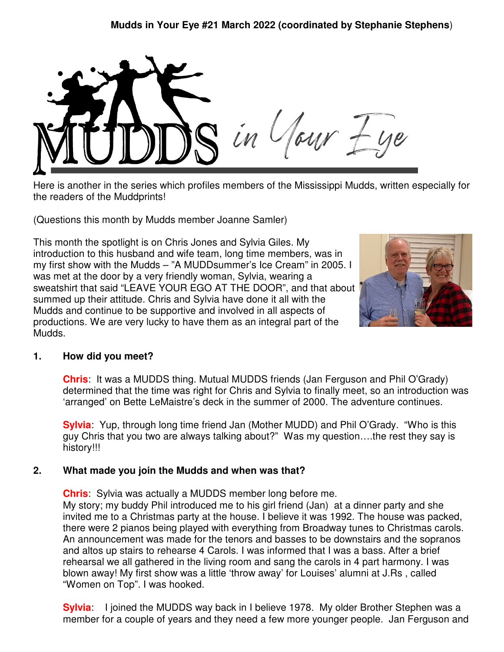

Here is another in the series which profiles members of the Mississippi Mudds, written especially for the readers of the Muddprints!

(Questions this month by Mudds member Joanne Samler)

This month the spotlight is on Chris Jones and Sylvia Giles. My introduction to this husband and wife team, long time members, was in my first show with the Mudds – "A MUDDsummer's Ice Cream" in 2005. I was met at the door by a very friendly woman, Sylvia, wearing a sweatshirt that said "LEAVE YOUR EGO AT THE DOOR", and that about summed up their attitude. Chris and Sylvia have done it all with the Mudds and continue to be supportive and involved in all aspects of productions. We are very lucky to have them as an integral part of the Mudds.



### **1. How did you meet?**

**Chris**: It was a MUDDS thing. Mutual MUDDS friends (Jan Ferguson and Phil O'Grady) determined that the time was right for Chris and Sylvia to finally meet, so an introduction was 'arranged' on Bette LeMaistre's deck in the summer of 2000. The adventure continues.

**Sylvia**: Yup, through long time friend Jan (Mother MUDD) and Phil O'Grady. "Who is this guy Chris that you two are always talking about?" Was my question….the rest they say is history!!!

# **2. What made you join the Mudds and when was that?**

**Chris**: Sylvia was actually a MUDDS member long before me. My story; my buddy Phil introduced me to his girl friend (Jan) at a dinner party and she invited me to a Christmas party at the house. I believe it was 1992. The house was packed, there were 2 pianos being played with everything from Broadway tunes to Christmas carols. An announcement was made for the tenors and basses to be downstairs and the sopranos and altos up stairs to rehearse 4 Carols. I was informed that I was a bass. After a brief rehearsal we all gathered in the living room and sang the carols in 4 part harmony. I was blown away! My first show was a little 'throw away' for Louises' alumni at J.Rs , called "Women on Top". I was hooked.

**Sylvia**: I joined the MUDDS way back in I believe 1978. My older Brother Stephen was a member for a couple of years and they need a few more younger people. Jan Ferguson and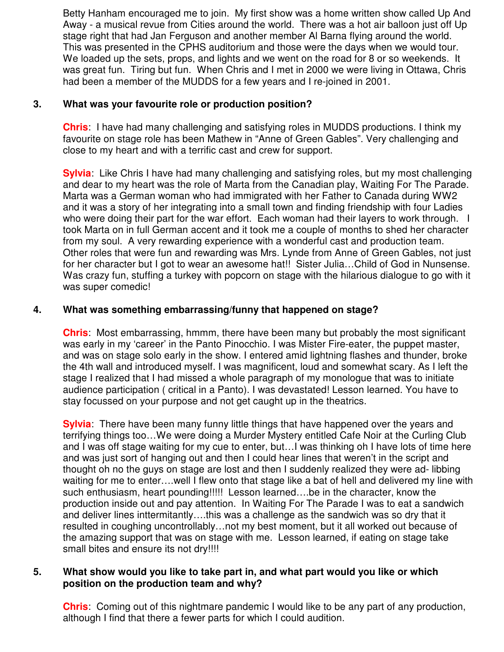Betty Hanham encouraged me to join. My first show was a home written show called Up And Away - a musical revue from Cities around the world. There was a hot air balloon just off Up stage right that had Jan Ferguson and another member Al Barna flying around the world. This was presented in the CPHS auditorium and those were the days when we would tour. We loaded up the sets, props, and lights and we went on the road for 8 or so weekends. It was great fun. Tiring but fun. When Chris and I met in 2000 we were living in Ottawa, Chris had been a member of the MUDDS for a few years and I re-joined in 2001.

#### **3. What was your favourite role or production position?**

**Chris**: I have had many challenging and satisfying roles in MUDDS productions. I think my favourite on stage role has been Mathew in "Anne of Green Gables". Very challenging and close to my heart and with a terrific cast and crew for support.

**Sylvia**: Like Chris I have had many challenging and satisfying roles, but my most challenging and dear to my heart was the role of Marta from the Canadian play, Waiting For The Parade. Marta was a German woman who had immigrated with her Father to Canada during WW2 and it was a story of her integrating into a small town and finding friendship with four Ladies who were doing their part for the war effort. Each woman had their layers to work through. I took Marta on in full German accent and it took me a couple of months to shed her character from my soul. A very rewarding experience with a wonderful cast and production team. Other roles that were fun and rewarding was Mrs. Lynde from Anne of Green Gables, not just for her character but I got to wear an awesome hat!! Sister Julia…Child of God in Nunsense. Was crazy fun, stuffing a turkey with popcorn on stage with the hilarious dialogue to go with it was super comedic!

#### **4. What was something embarrassing/funny that happened on stage?**

**Chris**: Most embarrassing, hmmm, there have been many but probably the most significant was early in my 'career' in the Panto Pinocchio. I was Mister Fire-eater, the puppet master, and was on stage solo early in the show. I entered amid lightning flashes and thunder, broke the 4th wall and introduced myself. I was magnificent, loud and somewhat scary. As I left the stage I realized that I had missed a whole paragraph of my monologue that was to initiate audience participation ( critical in a Panto). I was devastated! Lesson learned. You have to stay focussed on your purpose and not get caught up in the theatrics.

**Sylvia**: There have been many funny little things that have happened over the years and terrifying things too…We were doing a Murder Mystery entitled Cafe Noir at the Curling Club and I was off stage waiting for my cue to enter, but…I was thinking oh I have lots of time here and was just sort of hanging out and then I could hear lines that weren't in the script and thought oh no the guys on stage are lost and then I suddenly realized they were ad- libbing waiting for me to enter….well I flew onto that stage like a bat of hell and delivered my line with such enthusiasm, heart pounding!!!!! Lesson learned….be in the character, know the production inside out and pay attention. In Waiting For The Parade I was to eat a sandwich and deliver lines inttermitantly….this was a challenge as the sandwich was so dry that it resulted in coughing uncontrollably…not my best moment, but it all worked out because of the amazing support that was on stage with me. Lesson learned, if eating on stage take small bites and ensure its not dry!!!!

#### **5. What show would you like to take part in, and what part would you like or which position on the production team and why?**

**Chris**: Coming out of this nightmare pandemic I would like to be any part of any production, although I find that there a fewer parts for which I could audition.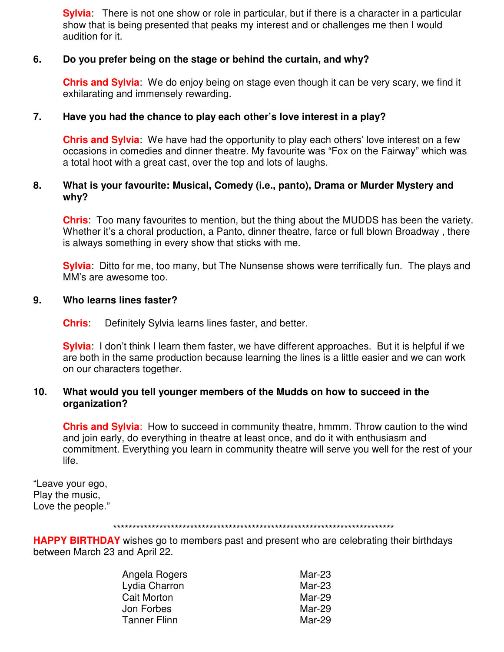**Sylvia**: There is not one show or role in particular, but if there is a character in a particular show that is being presented that peaks my interest and or challenges me then I would audition for it.

#### **6. Do you prefer being on the stage or behind the curtain, and why?**

**Chris and Sylvia**: We do enjoy being on stage even though it can be very scary, we find it exhilarating and immensely rewarding.

#### **7. Have you had the chance to play each other's love interest in a play?**

**Chris and Sylvia**: We have had the opportunity to play each others' love interest on a few occasions in comedies and dinner theatre. My favourite was "Fox on the Fairway" which was a total hoot with a great cast, over the top and lots of laughs.

#### **8. What is your favourite: Musical, Comedy (i.e., panto), Drama or Murder Mystery and why?**

**Chris**: Too many favourites to mention, but the thing about the MUDDS has been the variety. Whether it's a choral production, a Panto, dinner theatre, farce or full blown Broadway, there is always something in every show that sticks with me.

**Sylvia**: Ditto for me, too many, but The Nunsense shows were terrifically fun. The plays and MM's are awesome too.

#### **9. Who learns lines faster?**

**Chris**: Definitely Sylvia learns lines faster, and better.

**Sylvia**: I don't think I learn them faster, we have different approaches. But it is helpful if we are both in the same production because learning the lines is a little easier and we can work on our characters together.

#### **10. What would you tell younger members of the Mudds on how to succeed in the organization?**

**Chris and Sylvia**: How to succeed in community theatre, hmmm. Throw caution to the wind and join early, do everything in theatre at least once, and do it with enthusiasm and commitment. Everything you learn in community theatre will serve you well for the rest of your life.

"Leave your ego, Play the music, Love the people."

#### \*\*\*\*\*\*\*\*\*\*\*\*\*\*\*\*\*\*\*\*\*\*\*\*\*\*\*\*\*\*\*\*\*\*\*\*\*\*\*\*\*\*\*\*\*\*\*\*\*\*\*\*\*\*\*\*\*\*\*\*\*\*\*\*\*\*\*\*\*\*\*\*\*

**HAPPY BIRTHDAY** wishes go to members past and present who are celebrating their birthdays between March 23 and April 22.

| Angela Rogers | Mar-23   |
|---------------|----------|
| Lydia Charron | $Mar-23$ |
| Cait Morton   | Mar-29   |
| Jon Forbes    | Mar-29   |
| Tanner Flinn  | Mar-29   |
|               |          |